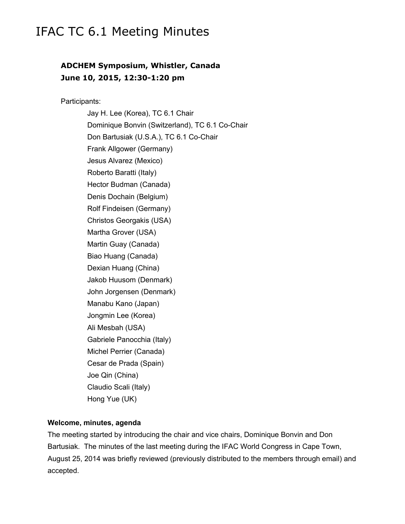# IFAC TC 6.1 Meeting Minutes

# **ADCHEM Symposium, Whistler, Canada June 10, 2015, 12:30-1:20 pm**

Participants:

Jay H. Lee (Korea), TC 6.1 Chair Dominique Bonvin (Switzerland), TC 6.1 Co-Chair Don Bartusiak (U.S.A.), TC 6.1 Co-Chair Frank Allgower (Germany) Jesus Alvarez (Mexico) Roberto Baratti (Italy) Hector Budman (Canada) Denis Dochain (Belgium) Rolf Findeisen (Germany) Christos Georgakis (USA) Martha Grover (USA) Martin Guay (Canada) Biao Huang (Canada) Dexian Huang (China) Jakob Huusom (Denmark) John Jorgensen (Denmark) Manabu Kano (Japan) Jongmin Lee (Korea) Ali Mesbah (USA) Gabriele Panocchia (Italy) Michel Perrier (Canada) Cesar de Prada (Spain) Joe Qin (China) Claudio Scali (Italy) Hong Yue (UK)

#### **Welcome, minutes, agenda**

The meeting started by introducing the chair and vice chairs, Dominique Bonvin and Don Bartusiak. The minutes of the last meeting during the IFAC World Congress in Cape Town, August 25, 2014 was briefly reviewed (previously distributed to the members through email) and accepted.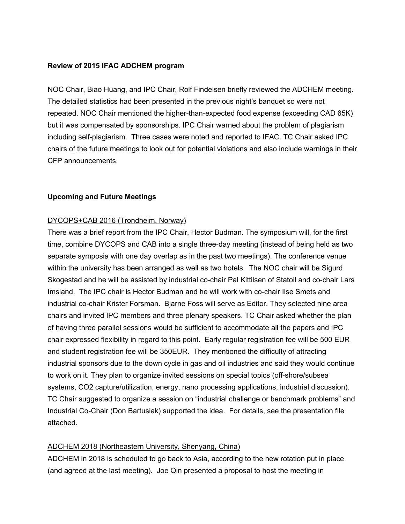# **Review of 2015 IFAC ADCHEM program**

NOC Chair, Biao Huang, and IPC Chair, Rolf Findeisen briefly reviewed the ADCHEM meeting. The detailed statistics had been presented in the previous night's banquet so were not repeated. NOC Chair mentioned the higher-than-expected food expense (exceeding CAD 65K) but it was compensated by sponsorships. IPC Chair warned about the problem of plagiarism including self-plagiarism. Three cases were noted and reported to IFAC. TC Chair asked IPC chairs of the future meetings to look out for potential violations and also include warnings in their CFP announcements.

#### **Upcoming and Future Meetings**

# DYCOPS+CAB 2016 (Trondheim, Norway)

There was a brief report from the IPC Chair, Hector Budman. The symposium will, for the first time, combine DYCOPS and CAB into a single three-day meeting (instead of being held as two separate symposia with one day overlap as in the past two meetings). The conference venue within the university has been arranged as well as two hotels. The NOC chair will be Sigurd Skogestad and he will be assisted by industrial co-chair Pal Kittilsen of Statoil and co-chair Lars Imsland. The IPC chair is Hector Budman and he will work with co-chair Ilse Smets and industrial co-chair Krister Forsman. Bjarne Foss will serve as Editor. They selected nine area chairs and invited IPC members and three plenary speakers. TC Chair asked whether the plan of having three parallel sessions would be sufficient to accommodate all the papers and IPC chair expressed flexibility in regard to this point. Early regular registration fee will be 500 EUR and student registration fee will be 350EUR. They mentioned the difficulty of attracting industrial sponsors due to the down cycle in gas and oil industries and said they would continue to work on it. They plan to organize invited sessions on special topics (off-shore/subsea systems, CO2 capture/utilization, energy, nano processing applications, industrial discussion). TC Chair suggested to organize a session on "industrial challenge or benchmark problems" and Industrial Co-Chair (Don Bartusiak) supported the idea. For details, see the presentation file attached.

# ADCHEM 2018 (Northeastern University, Shenyang, China)

ADCHEM in 2018 is scheduled to go back to Asia, according to the new rotation put in place (and agreed at the last meeting). Joe Qin presented a proposal to host the meeting in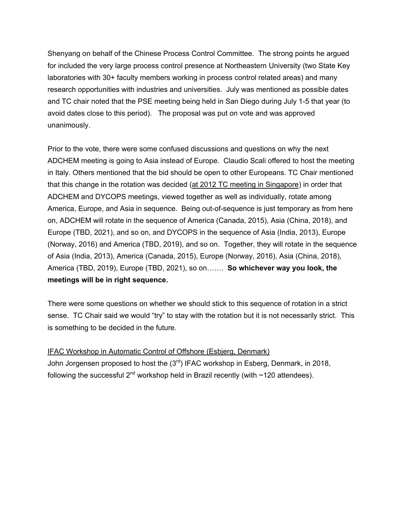Shenyang on behalf of the Chinese Process Control Committee. The strong points he argued for included the very large process control presence at Northeastern University (two State Key laboratories with 30+ faculty members working in process control related areas) and many research opportunities with industries and universities. July was mentioned as possible dates and TC chair noted that the PSE meeting being held in San Diego during July 1-5 that year (to avoid dates close to this period). The proposal was put on vote and was approved unanimously.

Prior to the vote, there were some confused discussions and questions on why the next ADCHEM meeting is going to Asia instead of Europe. Claudio Scali offered to host the meeting in Italy. Others mentioned that the bid should be open to other Europeans. TC Chair mentioned that this change in the rotation was decided (at 2012 TC meeting in Singapore) in order that ADCHEM and DYCOPS meetings, viewed together as well as individually, rotate among America, Europe, and Asia in sequence. Being out-of-sequence is just temporary as from here on, ADCHEM will rotate in the sequence of America (Canada, 2015), Asia (China, 2018), and Europe (TBD, 2021), and so on, and DYCOPS in the sequence of Asia (India, 2013), Europe (Norway, 2016) and America (TBD, 2019), and so on. Together, they will rotate in the sequence of Asia (India, 2013), America (Canada, 2015), Europe (Norway, 2016), Asia (China, 2018), America (TBD, 2019), Europe (TBD, 2021), so on……. **So whichever way you look, the meetings will be in right sequence.**

There were some questions on whether we should stick to this sequence of rotation in a strict sense. TC Chair said we would "try" to stay with the rotation but it is not necessarily strict. This is something to be decided in the future.

IFAC Workshop in Automatic Control of Offshore (Esbjerg, Denmark) John Jorgensen proposed to host the  $(3<sup>rd</sup>)$  IFAC workshop in Esberg, Denmark, in 2018, following the successful  $2^{nd}$  workshop held in Brazil recently (with  $\sim$ 120 attendees).